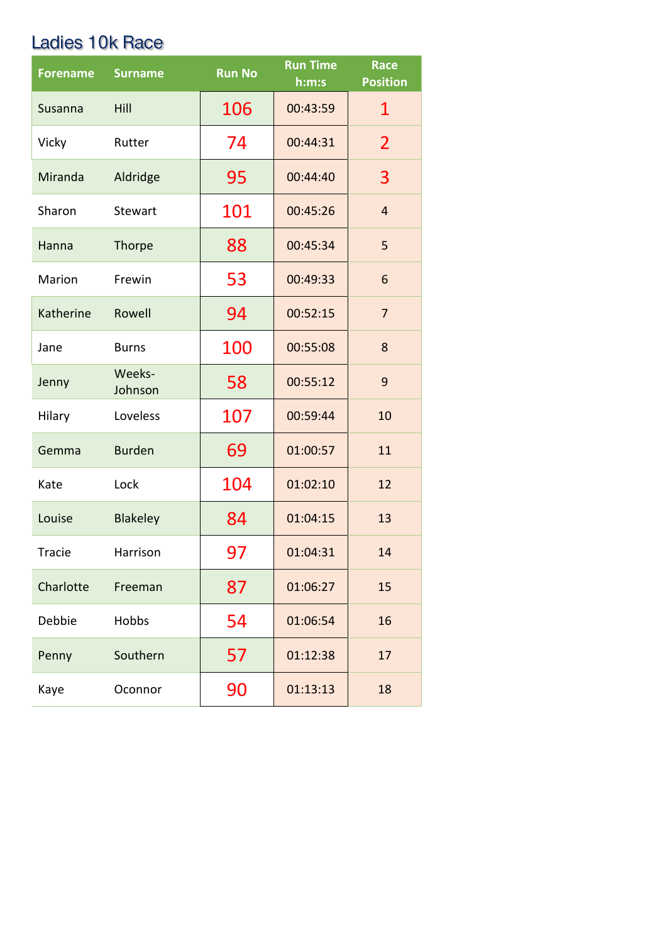## Ladies 10k Race

| <b>Forename</b> | <b>Surname</b>    | <b>Run No</b> | <b>Run Time</b><br>h:m:s | <b>Race</b><br><b>Position</b> |
|-----------------|-------------------|---------------|--------------------------|--------------------------------|
| Susanna         | Hill              | 106           | 00:43:59                 | $\mathbf{1}$                   |
| Vicky           | Rutter            | 74            | 00:44:31                 | $\overline{2}$                 |
| Miranda         | Aldridge          | 95            | 00:44:40                 | 3                              |
| Sharon          | Stewart           | 101           | 00:45:26                 | $\overline{4}$                 |
| Hanna           | <b>Thorpe</b>     | 88            | 00:45:34                 | 5                              |
| Marion          | Frewin            | 53            | 00:49:33                 | 6                              |
| Katherine       | Rowell            | 94            | 00:52:15                 | $\overline{7}$                 |
| Jane            | <b>Burns</b>      | 100           | 00:55:08                 | 8                              |
| Jenny           | Weeks-<br>Johnson | 58            | 00:55:12                 | 9                              |
| Hilary          | Loveless          | 107           | 00:59:44                 | 10                             |
| Gemma           | <b>Burden</b>     | 69            | 01:00:57                 | 11                             |
| Kate            | Lock              | 104           | 01:02:10                 | 12                             |
| Louise          | <b>Blakeley</b>   | 84            | 01:04:15                 | 13                             |
| Tracie          | Harrison          | 97            | 01:04:31                 | 14                             |
| Charlotte       | Freeman           | 87            | 01:06:27                 | 15                             |
| Debbie          | Hobbs             | 54            | 01:06:54                 | 16                             |
| Penny           | Southern          | 57            | 01:12:38                 | 17                             |
| Kaye            | Oconnor           | 90            | 01:13:13                 | 18                             |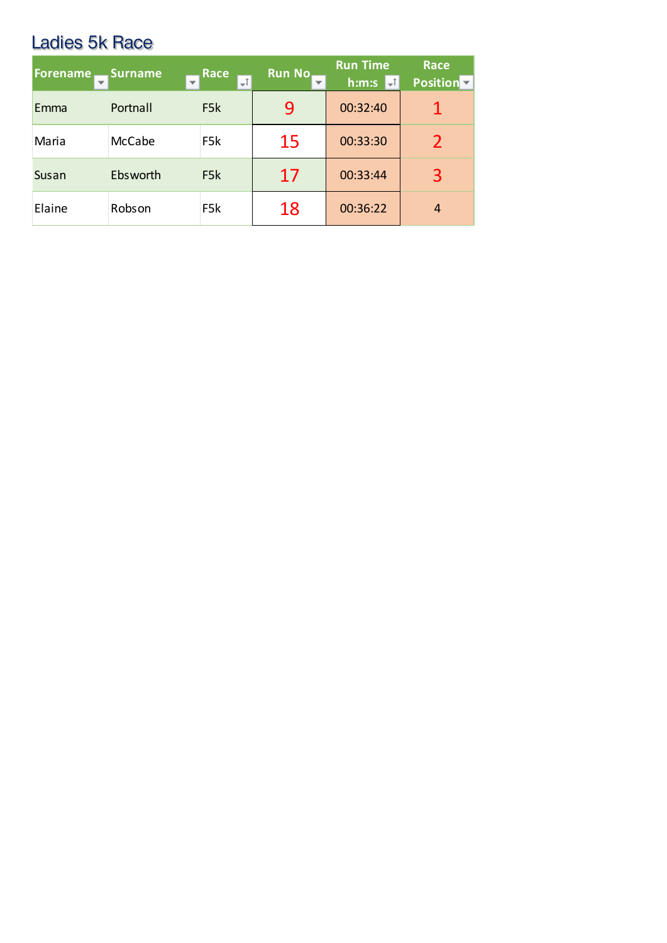## Ladies 5k Race

| <b>Forename</b> | <b>Surname</b><br>$\overline{\phantom{a}}$ | Race<br>÷t       | <b>Run No</b><br>$\overline{\phantom{a}}$ | <b>Run Time</b><br>h:m:s<br>÷İ | <b>Race</b><br>Position <sup>-</sup> |
|-----------------|--------------------------------------------|------------------|-------------------------------------------|--------------------------------|--------------------------------------|
| Emma            | Portnall                                   | F <sub>5</sub> k | 9                                         | 00:32:40                       |                                      |
| Maria           | McCabe                                     | F <sub>5</sub> k | 15                                        | 00:33:30                       | 2                                    |
| Susan           | Ebsworth                                   | F <sub>5</sub> k | 17                                        | 00:33:44                       | 3                                    |
| Elaine          | Robson                                     | F <sub>5</sub> k | 18                                        | 00:36:22                       | 4                                    |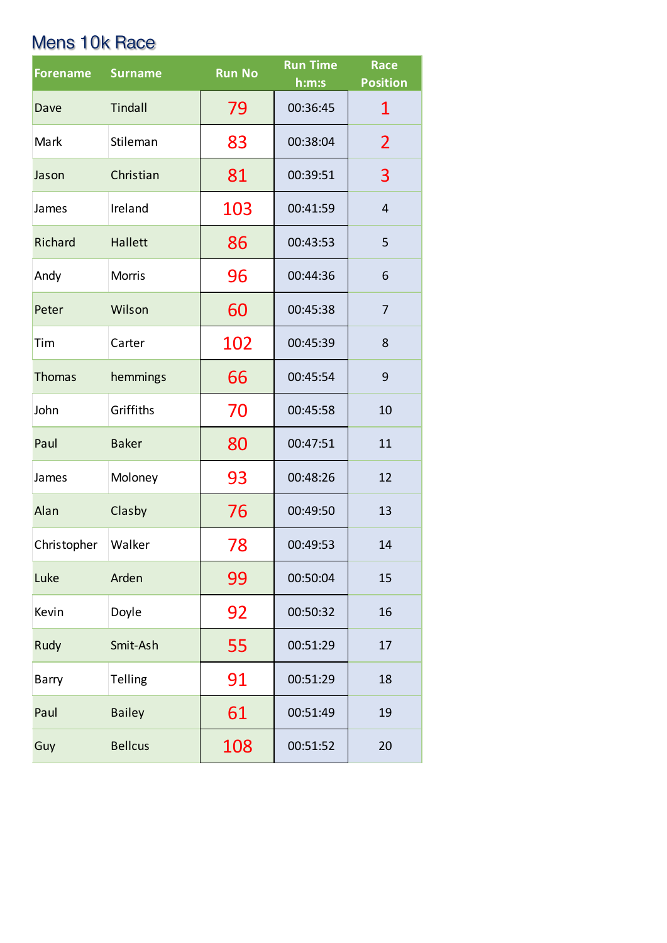## Mens 10k Race

| <b>Forename</b> | <b>Surname</b> | <b>Run No</b> | <b>Run Time</b><br>h:m:s | <b>Race</b><br><b>Position</b> |
|-----------------|----------------|---------------|--------------------------|--------------------------------|
| Dave            | Tindall        | 79            | 00:36:45                 | 1                              |
| Mark            | Stileman       | 83            | 00:38:04                 | $\overline{2}$                 |
| Jason           | Christian      | 81            | 00:39:51                 | 3                              |
| James           | Ireland        | 103           | 00:41:59                 | $\overline{\mathbf{4}}$        |
| Richard         | <b>Hallett</b> | 86            | 00:43:53                 | 5                              |
| Andy            | <b>Morris</b>  | 96            | 00:44:36                 | 6                              |
| Peter           | Wilson         | 60            | 00:45:38                 | 7                              |
| Tim             | Carter         | 102           | 00:45:39                 | 8                              |
| <b>Thomas</b>   | hemmings       | 66            | 00:45:54                 | 9                              |
| John            | Griffiths      | 70            | 00:45:58                 | 10                             |
| Paul            | <b>Baker</b>   | 80            | 00:47:51                 | 11                             |
| James           | Moloney        | 93            | 00:48:26                 | 12                             |
| Alan            | Clasby         | 76            | 00:49:50                 | 13                             |
| Christopher     | Walker         | 78            | 00:49:53                 | 14                             |
| Luke            | Arden          | 99            | 00:50:04                 | 15                             |
| Kevin           | Doyle          | 92            | 00:50:32                 | 16                             |
| Rudy            | Smit-Ash       | 55            | 00:51:29                 | 17                             |
| Barry           | Telling        | 91            | 00:51:29                 | 18                             |
| Paul            | <b>Bailey</b>  | 61            | 00:51:49                 | 19                             |
| Guy             | <b>Bellcus</b> | 108           | 00:51:52                 | 20                             |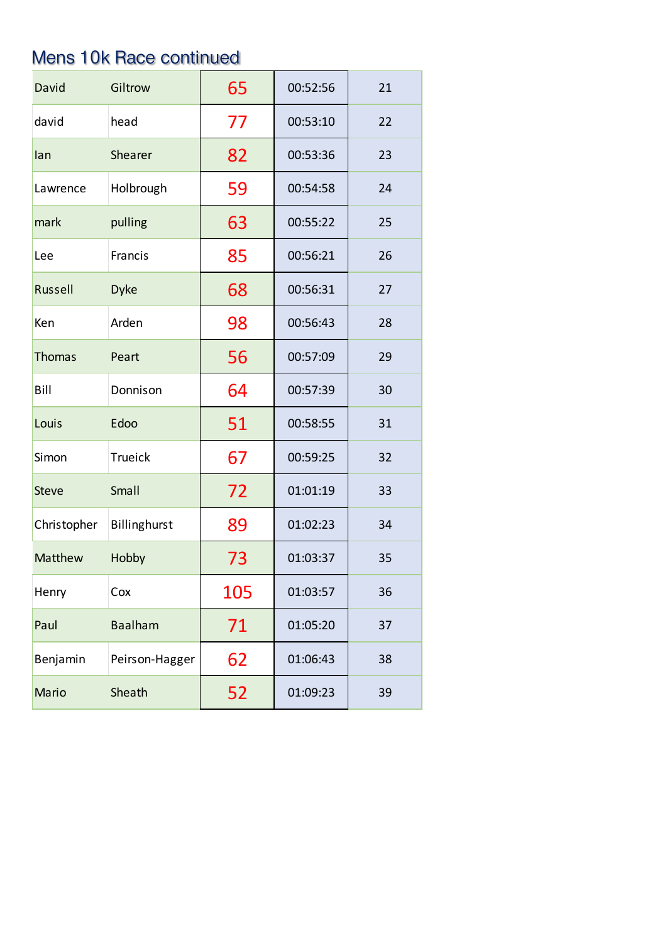# Mens 10k Race continued

| David         | Giltrow        | 65  | 00:52:56 | 21 |
|---------------|----------------|-----|----------|----|
| david         | head           | 77  | 00:53:10 | 22 |
| lan           | Shearer        | 82  | 00:53:36 | 23 |
| Lawrence      | Holbrough      | 59  | 00:54:58 | 24 |
| mark          | pulling        | 63  | 00:55:22 | 25 |
| Lee           | Francis        | 85  | 00:56:21 | 26 |
| Russell       | <b>Dyke</b>    | 68  | 00:56:31 | 27 |
| Ken           | Arden          | 98  | 00:56:43 | 28 |
| <b>Thomas</b> | Peart          | 56  | 00:57:09 | 29 |
| Bill          | Donnison       | 64  | 00:57:39 | 30 |
| Louis         | Edoo           | 51  | 00:58:55 | 31 |
| Simon         | <b>Trueick</b> | 67  | 00:59:25 | 32 |
| <b>Steve</b>  | Small          | 72  | 01:01:19 | 33 |
| Christopher   | Billinghurst   | 89  | 01:02:23 | 34 |
| Matthew       | Hobby          | 73  | 01:03:37 | 35 |
| Henry         | Cox            | 105 | 01:03:57 | 36 |
| Paul          | <b>Baalham</b> | 71  | 01:05:20 | 37 |
| Benjamin      | Peirson-Hagger | 62  | 01:06:43 | 38 |
| Mario         | Sheath         | 52  | 01:09:23 | 39 |